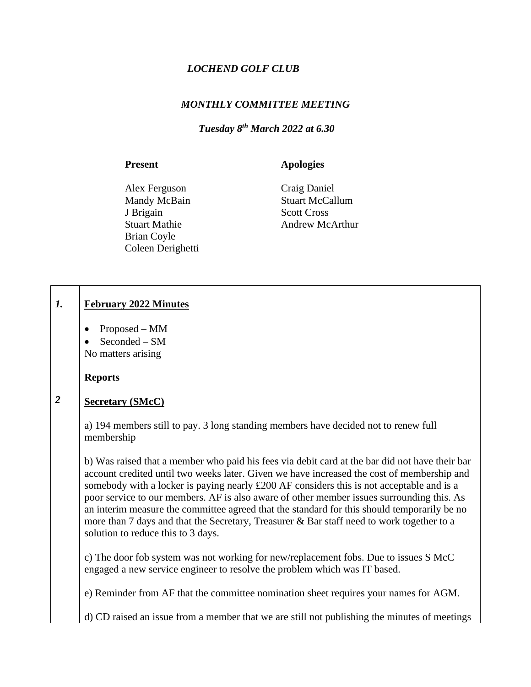# *LOCHEND GOLF CLUB*

# *MONTHLY COMMITTEE MEETING*

# *Tuesday 8th March 2022 at 6.30*

### Present **Apologies**

Alex Ferguson Craig Daniel Mandy McBain Stuart McCallum J Brigain Scott Cross Brian Coyle Coleen Derighetti

Stuart Mathie Andrew McArthur

#### *1.* **February 2022 Minutes**

- Proposed MM
- Seconded SM

No matters arising

**Reports**

### *2* **Secretary (SMcC)**

a) 194 members still to pay. 3 long standing members have decided not to renew full membership

b) Was raised that a member who paid his fees via debit card at the bar did not have their bar account credited until two weeks later. Given we have increased the cost of membership and somebody with a locker is paying nearly £200 AF considers this is not acceptable and is a poor service to our members. AF is also aware of other member issues surrounding this. As an interim measure the committee agreed that the standard for this should temporarily be no more than 7 days and that the Secretary, Treasurer & Bar staff need to work together to a solution to reduce this to 3 days.

c) The door fob system was not working for new/replacement fobs. Due to issues S McC engaged a new service engineer to resolve the problem which was IT based.

e) Reminder from AF that the committee nomination sheet requires your names for AGM.

d) CD raised an issue from a member that we are still not publishing the minutes of meetings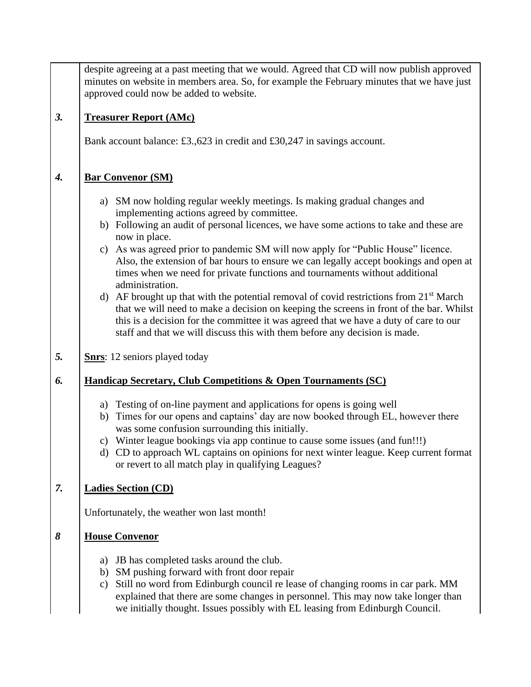despite agreeing at a past meeting that we would. Agreed that CD will now publish approved minutes on website in members area. So, for example the February minutes that we have just approved could now be added to website.

### *3.* **Treasurer Report (AMc)**

Bank account balance: £3.,623 in credit and £30,247 in savings account.

### *4.* **Bar Convenor (SM)**

- a) SM now holding regular weekly meetings. Is making gradual changes and implementing actions agreed by committee.
- b) Following an audit of personal licences, we have some actions to take and these are now in place.
- c) As was agreed prior to pandemic SM will now apply for "Public House" licence. Also, the extension of bar hours to ensure we can legally accept bookings and open at times when we need for private functions and tournaments without additional administration.
- d) AF brought up that with the potential removal of covid restrictions from  $21<sup>st</sup>$  March that we will need to make a decision on keeping the screens in front of the bar. Whilst this is a decision for the committee it was agreed that we have a duty of care to our staff and that we will discuss this with them before any decision is made.
- *5.* **Snrs**: 12 seniors played today

#### *6.* **Handicap Secretary, Club Competitions & Open Tournaments (SC)**

- a) Testing of on-line payment and applications for opens is going well
- b) Times for our opens and captains' day are now booked through EL, however there was some confusion surrounding this initially.
- c) Winter league bookings via app continue to cause some issues (and fun!!!)
- d) CD to approach WL captains on opinions for next winter league. Keep current format or revert to all match play in qualifying Leagues?

#### *7.* **Ladies Section (CD)**

Unfortunately, the weather won last month!

#### *8* **House Convenor**

- a) JB has completed tasks around the club.
- b) SM pushing forward with front door repair
- c) Still no word from Edinburgh council re lease of changing rooms in car park. MM explained that there are some changes in personnel. This may now take longer than we initially thought. Issues possibly with EL leasing from Edinburgh Council.